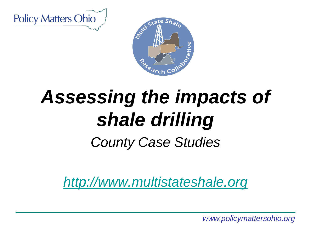



# *Assessing the impacts of shale drilling*

*County Case Studies*

*<http://www.multistateshale.org>*

*www.policymattersohio.org*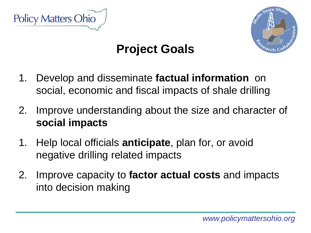



# **Project Goals**

- 1. Develop and disseminate **factual information** on social, economic and fiscal impacts of shale drilling
- 2. Improve understanding about the size and character of **social impacts**
- 1. Help local officials **anticipate**, plan for, or avoid negative drilling related impacts
- 2. Improve capacity to **factor actual costs** and impacts into decision making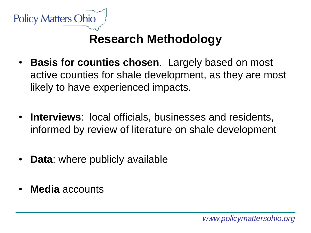

# **Research Methodology**

- **Basis for counties chosen**. Largely based on most active counties for shale development, as they are most likely to have experienced impacts.
- **Interviews**: local officials, businesses and residents, informed by review of literature on shale development
- **Data**: where publicly available
- **Media** accounts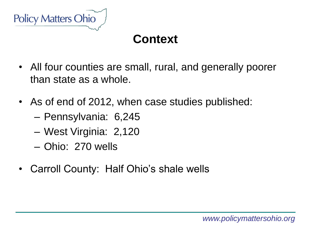

### **Context**

- All four counties are small, rural, and generally poorer than state as a whole.
- As of end of 2012, when case studies published:
	- Pennsylvania: 6,245
	- West Virginia: 2,120
	- Ohio: 270 wells
- Carroll County: Half Ohio's shale wells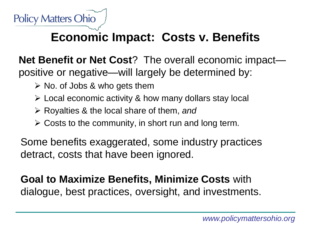

### **Economic Impact: Costs v. Benefits**

**Net Benefit or Net Cost**? The overall economic impact positive or negative—will largely be determined by:

- $\triangleright$  No. of Jobs & who gets them
- $\triangleright$  Local economic activity & how many dollars stay local
- Royalties & the local share of them, *and*
- $\triangleright$  Costs to the community, in short run and long term.

Some benefits exaggerated, some industry practices detract, costs that have been ignored.

**Goal to Maximize Benefits, Minimize Costs** with dialogue, best practices, oversight, and investments.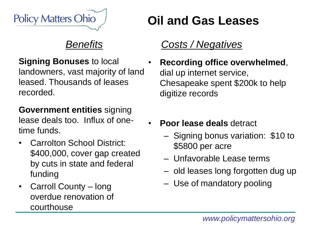

**Signing Bonuses** to local landowners, vast majority of land leased. Thousands of leases recorded.

**Government entities** signing lease deals too. Influx of onetime funds.

- Carrolton School District: \$400,000, cover gap created by cuts in state and federal funding
- Carroll County long overdue renovation of courthouse

# **Oil and Gas Leases**

### *Costs / Negatives*

- **Recording office overwhelmed**, dial up internet service, Chesapeake spent \$200k to help digitize records
- **Poor lease deals** detract
	- Signing bonus variation: \$10 to \$5800 per acre
	- Unfavorable Lease terms
	- old leases long forgotten dug up
	- Use of mandatory pooling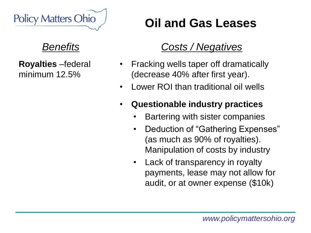

**Royalties** –federal minimum 12.5%

# **Oil and Gas Leases**

### *Costs / Negatives*

- Fracking wells taper off dramatically (decrease 40% after first year).
- Lower ROI than traditional oil wells
- **Questionable industry practices**
	- Bartering with sister companies
	- Deduction of "Gathering Expenses" (as much as 90% of royalties). Manipulation of costs by industry
	- Lack of transparency in royalty payments, lease may not allow for audit, or at owner expense (\$10k)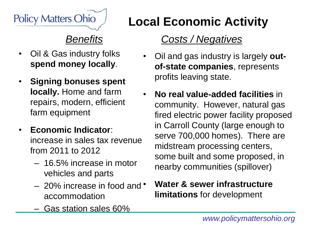

- Oil & Gas industry folks **spend money locally**.
- **Signing bonuses spent locally.** Home and farm repairs, modern, efficient farm equipment
- **Economic Indicator**: increase in sales tax revenue from 2011 to 2012
	- 16.5% increase in motor vehicles and parts
	- 20% increase in food and accommodation
	- Gas station sales 60%

# **Local Economic Activity**

### *Costs / Negatives*

- Oil and gas industry is largely **outof-state companies**, represents profits leaving state.
- **No real value-added facilities** in community. However, natural gas fired electric power facility proposed in Carroll County (large enough to serve 700,000 homes). There are midstream processing centers, some built and some proposed, in nearby communities (spillover)

#### • **Water & sewer infrastructure limitations** for development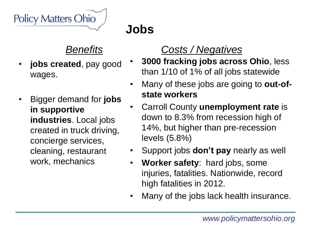

# **Jobs**

#### *Benefits*

- **jobs created**, pay good wages.
- Bigger demand for **jobs in supportive industries**. Local jobs created in truck driving, concierge services, cleaning, restaurant work, mechanics

### *Costs / Negatives*

- **3000 fracking jobs across Ohio**, less than 1/10 of 1% of all jobs statewide
- Many of these jobs are going to **out-ofstate workers**
- Carroll County **unemployment rate** is down to 8.3% from recession high of 14%, but higher than pre-recession levels (5.8%)
- Support jobs **don't pay** nearly as well
- **Worker safety**: hard jobs, some injuries, fatalities. Nationwide, record high fatalities in 2012.
- Many of the jobs lack health insurance.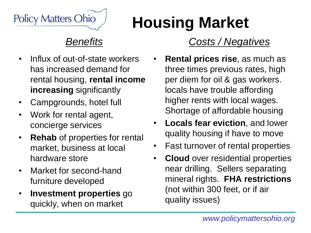

- Influx of out-of-state workers has increased demand for rental housing, **rental income increasing** significantly
- Campgrounds, hotel full
- Work for rental agent, concierge services
- **Rehab** of properties for rental market, business at local hardware store
- Market for second-hand furniture developed
- **Investment properties** go quickly, when on market

# *Costs / Negatives*

**Housing Market**

- **Rental prices rise**, as much as three times previous rates, high per diem for oil & gas workers. locals have trouble affording higher rents with local wages. Shortage of affordable housing
- **Locals fear eviction**, and lower quality housing if have to move
- Fast turnover of rental properties
- **Cloud** over residential properties near drilling. Sellers separating mineral rights. **FHA restrictions**  (not within 300 feet, or if air quality issues)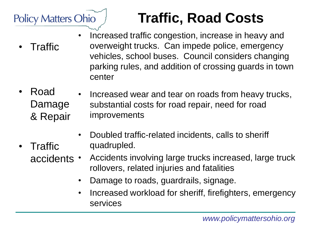

• Traffic

# **Traffic, Road Costs**

- Traffic • Increased traffic congestion, increase in heavy and overweight trucks. Can impede police, emergency vehicles, school buses. Council considers changing parking rules, and addition of crossing guards in town center
- Road Damage & Repair • Increased wear and tear on roads from heavy trucks, substantial costs for road repair, need for road improvements
	- Doubled traffic-related incidents, calls to sheriff quadrupled.
	- accidents  $\cdot$ • Accidents involving large trucks increased, large truck rollovers, related injuries and fatalities
		- Damage to roads, guardrails, signage.
		- Increased workload for sheriff, firefighters, emergency services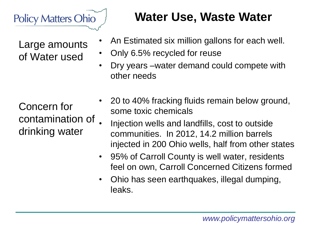

Large amounts of Water used

Concern for contamination of drinking water

# **Water Use, Waste Water**

- An Estimated six million gallons for each well.
- Only 6.5% recycled for reuse
- Dry years –water demand could compete with other needs
- 20 to 40% fracking fluids remain below ground, some toxic chemicals
- Injection wells and landfills, cost to outside communities. In 2012, 14.2 million barrels injected in 200 Ohio wells, half from other states
- 95% of Carroll County is well water, residents feel on own, Carroll Concerned Citizens formed
- Ohio has seen earthquakes, illegal dumping, leaks.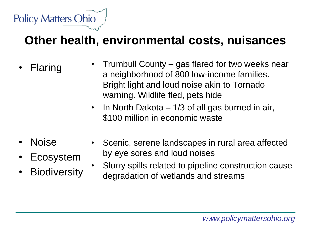

### **Other health, environmental costs, nuisances**

- **Flaring** • Trumbull County – gas flared for two weeks near a neighborhood of 800 low-income families. Bright light and loud noise akin to Tornado warning. Wildlife fled, pets hide
	- In North Dakota 1/3 of all gas burned in air, \$100 million in economic waste
- Noise
	- **Ecosystem**
	- **Biodiversity**
- Scenic, serene landscapes in rural area affected by eye sores and loud noises
	- Slurry spills related to pipeline construction cause degradation of wetlands and streams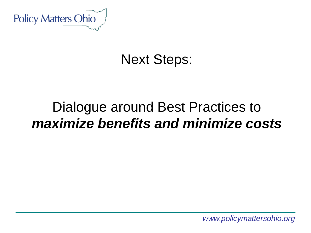

# Next Steps:

# Dialogue around Best Practices to *maximize benefits and minimize costs*